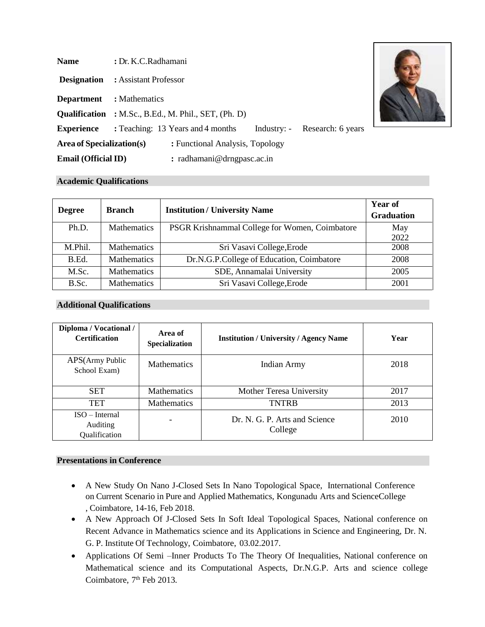| <b>Name</b>                | : Dr. K.C.Radhamani                                                                  |  |  |  |  |
|----------------------------|--------------------------------------------------------------------------------------|--|--|--|--|
| <b>Designation</b>         | : Assistant Professor                                                                |  |  |  |  |
| <b>Department</b>          | : Mathematics                                                                        |  |  |  |  |
|                            | <b>Qualification</b> : M.Sc., B.Ed., M. Phil., SET, (Ph. D)                          |  |  |  |  |
|                            | <b>Experience</b> : Teaching: 13 Years and 4 months<br>Industry: - Research: 6 years |  |  |  |  |
| Area of Specialization(s)  | : Functional Analysis, Topology                                                      |  |  |  |  |
| <b>Email (Official ID)</b> | : radhamani@drngpasc.ac.in                                                           |  |  |  |  |

#### **Academic Qualifications**

| <b>Degree</b> | <b>Branch</b>      | <b>Institution / University Name</b>           | <b>Year of</b><br><b>Graduation</b> |
|---------------|--------------------|------------------------------------------------|-------------------------------------|
| Ph.D.         | <b>Mathematics</b> | PSGR Krishnammal College for Women, Coimbatore | May<br>2022                         |
| M.Phil.       | <b>Mathematics</b> | Sri Vasavi College, Erode                      | 2008                                |
| $B.$ $Ed.$    | <b>Mathematics</b> | Dr.N.G.P.College of Education, Coimbatore      | 2008                                |
| M.Sc.         | <b>Mathematics</b> | SDE, Annamalai University                      | 2005                                |
| B.Sc.         | <b>Mathematics</b> | Sri Vasavi College, Erode                      | 2001                                |

## **Additional Qualifications**

| Diploma / Vocational /<br><b>Certification</b>     | Area of<br><b>Specialization</b> | <b>Institution / University / Agency Name</b> | Year |
|----------------------------------------------------|----------------------------------|-----------------------------------------------|------|
| APS(Army Public<br>School Exam)                    | <b>Mathematics</b>               | <b>Indian Army</b>                            | 2018 |
| <b>SET</b>                                         | <b>Mathematics</b>               | Mother Teresa University                      | 2017 |
| <b>TET</b>                                         | Mathematics                      | <b>TNTRB</b>                                  | 2013 |
| $ISO-Internal$<br><b>Auditing</b><br>Qualification |                                  | Dr. N. G. P. Arts and Science<br>College      | 2010 |

#### **Presentations in Conference**

- A New Study On Nano J-Closed Sets In Nano Topological Space, International Conference on Current Scenario in Pure and Applied Mathematics, Kongunadu Arts and ScienceCollege , Coimbatore, 14-16, Feb 2018.
- A New Approach Of J-Closed Sets In Soft Ideal Topological Spaces, National conference on Recent Advance in Mathematics science and its Applications in Science and Engineering, Dr. N. G. P. Institute Of Technology, Coimbatore, 03.02.2017.
- Applications Of Semi –Inner Products To The Theory Of Inequalities, National conference on Mathematical science and its Computational Aspects, Dr.N.G.P. Arts and science college Coimbatore, 7<sup>th</sup> Feb 2013.

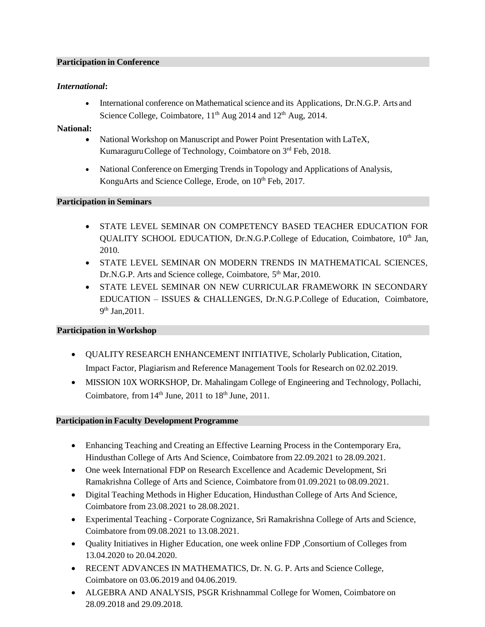#### **Participation in Conference**

## *International***:**

• International conference on Mathematical science and its Applications, Dr.N.G.P. Arts and Science College, Coimbatore,  $11<sup>th</sup>$  Aug 2014 and  $12<sup>th</sup>$  Aug, 2014.

### **National:**

- National Workshop on Manuscript and Power Point Presentation with LaTeX, Kumaraguru College of Technology, Coimbatore on 3rd Feb, 2018.
- National Conference on Emerging Trends in Topology and Applications of Analysis, KonguArts and Science College, Erode, on  $10^{th}$  Feb, 2017.

#### **Participation in Seminars**

- STATE LEVEL SEMINAR ON COMPETENCY BASED TEACHER EDUCATION FOR QUALITY SCHOOL EDUCATION, Dr.N.G.P.College of Education, Coimbatore, 10<sup>th</sup> Jan, 2010.
- STATE LEVEL SEMINAR ON MODERN TRENDS IN MATHEMATICAL SCIENCES, Dr.N.G.P. Arts and Science college, Coimbatore, 5<sup>th</sup> Mar, 2010.
- STATE LEVEL SEMINAR ON NEW CURRICULAR FRAMEWORK IN SECONDARY EDUCATION – ISSUES & CHALLENGES, Dr.N.G.P.College of Education, Coimbatore, 9<sup>th</sup> Jan, 2011.

#### **Participation in Workshop**

- QUALITY RESEARCH ENHANCEMENT INITIATIVE, Scholarly Publication, Citation, Impact Factor, Plagiarism and Reference Management Tools for Research on 02.02.2019.
- MISSION 10X WORKSHOP, Dr. Mahalingam College of Engineering and Technology, Pollachi, Coimbatore, from  $14<sup>th</sup>$  June,  $2011$  to  $18<sup>th</sup>$  June,  $2011$ .

#### **Participation in Faculty Development Programme**

- Enhancing Teaching and Creating an Effective Learning Process in the Contemporary Era, Hindusthan College of Arts And Science, Coimbatore from 22.09.2021 to 28.09.2021.
- One week International FDP on Research Excellence and Academic Development, Sri Ramakrishna College of Arts and Science, Coimbatore from 01.09.2021 to 08.09.2021.
- Digital Teaching Methods in Higher Education, Hindusthan College of Arts And Science, Coimbatore from 23.08.2021 to 28.08.2021.
- Experimental Teaching Corporate Cognizance, Sri Ramakrishna College of Arts and Science, Coimbatore from 09.08.2021 to 13.08.2021.
- Quality Initiatives in Higher Education, one week online FDP ,Consortium of Colleges from 13.04.2020 to 20.04.2020.
- RECENT ADVANCES IN MATHEMATICS, Dr. N. G. P. Arts and Science College, Coimbatore on 03.06.2019 and 04.06.2019.
- ALGEBRA AND ANALYSIS, PSGR Krishnammal College for Women, Coimbatore on 28.09.2018 and 29.09.2018.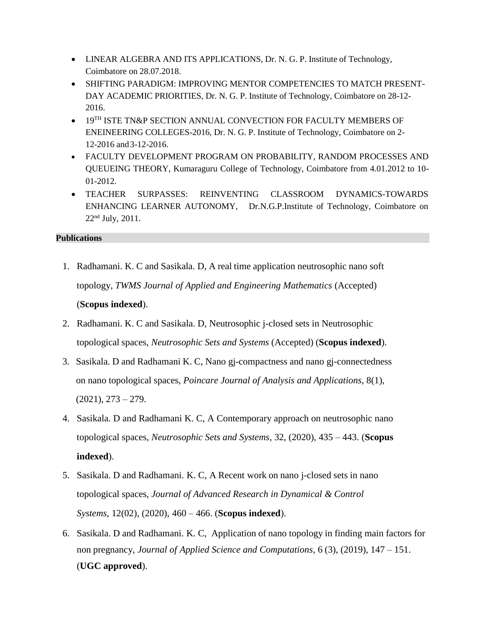- LINEAR ALGEBRA AND ITS APPLICATIONS, Dr. N. G. P. Institute of Technology, Coimbatore on 28.07.2018.
- SHIFTING PARADIGM: IMPROVING MENTOR COMPETENCIES TO MATCH PRESENT-DAY ACADEMIC PRIORITIES, Dr. N. G. P. Institute of Technology, Coimbatore on 28-12- 2016.
- 19TH ISTE TN&P SECTION ANNUAL CONVECTION FOR FACULTY MEMBERS OF ENEINEERING COLLEGES-2016, Dr. N. G. P. Institute of Technology, Coimbatore on 2- 12-2016 and3-12-2016.
- FACULTY DEVELOPMENT PROGRAM ON PROBABILITY, RANDOM PROCESSES AND QUEUEING THEORY, Kumaraguru College of Technology, Coimbatore from 4.01.2012 to 10- 01-2012.
- TEACHER SURPASSES: REINVENTING CLASSROOM DYNAMICS-TOWARDS ENHANCING LEARNER AUTONOMY, Dr.N.G.P.Institute of Technology, Coimbatore on  $22<sup>nd</sup>$  July,  $2011$ .

## **Publications**

- 1. Radhamani. K. C and Sasikala. D, A real time application neutrosophic nano soft topology, *TWMS Journal of Applied and Engineering Mathematics* (Accepted) (**Scopus indexed**).
- 2. Radhamani. K. C and Sasikala. D, Neutrosophic j-closed sets in Neutrosophic topological spaces, *Neutrosophic Sets and Systems* (Accepted) (**Scopus indexed**).
- 3. Sasikala. D and Radhamani K. C, Nano gj-compactness and nano gj-connectedness on nano topological spaces, *Poincare Journal of Analysis and Applications*, 8(1),  $(2021), 273 - 279.$
- 4. Sasikala. D and Radhamani K. C, A Contemporary approach on neutrosophic nano topological spaces, *Neutrosophic Sets and Systems*, 32, (2020), 435 – 443. (**Scopus indexed**).
- 5. Sasikala. D and Radhamani. K. C, A Recent work on nano j-closed sets in nano topological spaces, *Journal of Advanced Research in Dynamical & Control Systems*, 12(02), (2020), 460 – 466. (**Scopus indexed**).
- 6. Sasikala. D and Radhamani. K. C, Application of nano topology in finding main factors for non pregnancy, *Journal of Applied Science and Computations*, 6 (3), (2019), 147 – 151. (**UGC approved**).